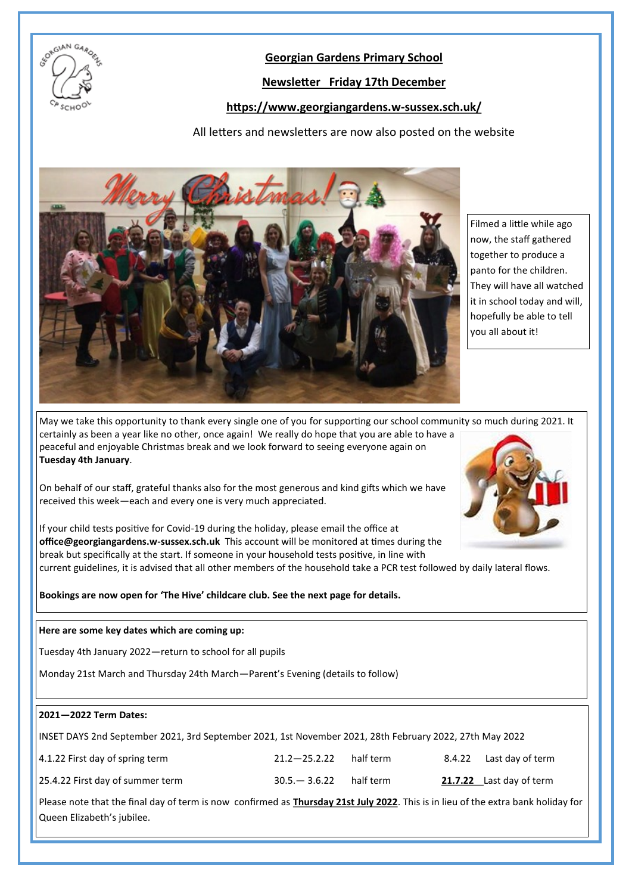

## **Georgian Gardens Primary School**

# **Newsletter Friday 17th December**

## **https://www.georgiangardens.w-sussex.sch.uk/**

All letters and newsletters are now also posted on the website



Filmed a little while ago now, the staff gathered together to produce a panto for the children. They will have all watched it in school today and will, hopefully be able to tell you all about it!

May we take this opportunity to thank every single one of you for supporting our school community so much during 2021. It certainly as been a year like no other, once again! We really do hope that you are able to have a peaceful and enjoyable Christmas break and we look forward to seeing everyone again on **Tuesday 4th January**.

On behalf of our staff, grateful thanks also for the most generous and kind gifts which we have received this week—each and every one is very much appreciated.



If your child tests positive for Covid-19 during the holiday, please email the office at **office@georgiangardens.w-sussex.sch.uk** This account will be monitored at times during the break but specifically at the start. If someone in your household tests positive, in line with

current guidelines, it is advised that all other members of the household take a PCR test followed by daily lateral flows.

**Bookings are now open for 'The Hive' childcare club. See the next page for details.**

#### **Here are some key dates which are coming up:**

Tuesday 4th January 2022—return to school for all pupils

Monday 21st March and Thursday 24th March—Parent's Evening (details to follow)

## **2021—2022 Term Dates:**

| INSET DAYS 2nd September 2021, 3rd September 2021, 1st November 2021, 28th February 2022, 27th May 2022 |                  |           |  |                          |
|---------------------------------------------------------------------------------------------------------|------------------|-----------|--|--------------------------|
| 4.1.22 First day of spring term                                                                         | $21.2 - 25.2.22$ | half term |  | 8.4.22 Last day of term  |
| 25.4.22 First day of summer term                                                                        | $30.5 - 3.6.22$  | half term |  | 21.7.22 Last day of term |

Please note that the final day of term is now confirmed as **Thursday 21st July 2022**. This is in lieu of the extra bank holiday for Queen Elizabeth's jubilee.